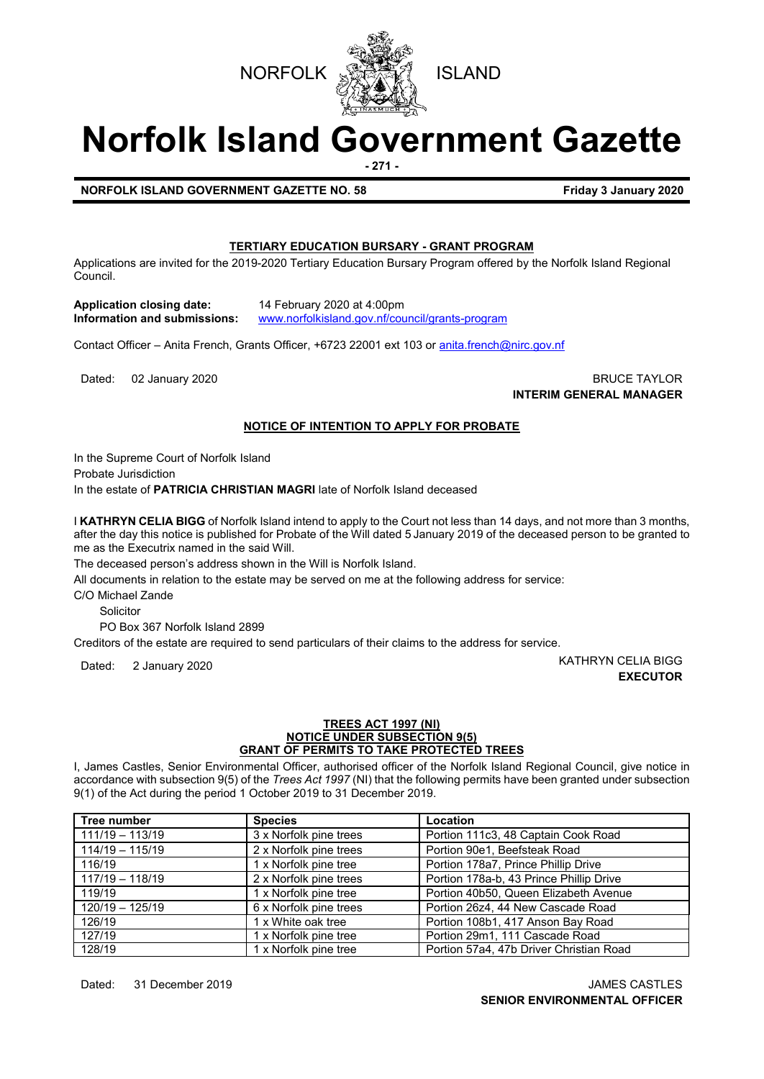



# **Norfolk Island Government Gazette**

**- 271 -**

**NORFOLK ISLAND GOVERNMENT GAZETTE NO. 58 Friday 3 January 2020** 

# **TERTIARY EDUCATION BURSARY - GRANT PROGRAM**

Applications are invited for the 2019-2020 Tertiary Education Bursary Program offered by the Norfolk Island Regional Council.

**Application closing date:** 14 February 2020 at 4:00pm

**Information and submissions:** [www.norfolkisland.gov.nf/council/grants-program](http://www.norfolkisland.gov.nf/council/grants-program)

Contact Officer – Anita French, Grants Officer, +6723 22001 ext 103 o[r anita.french@nirc.gov.nf](mailto:anita.french@nirc.gov.nf)

Dated: 02 January 2020 **BRUCE TAYLOR INTERIM GENERAL MANAGER**

#### **NOTICE OF INTENTION TO APPLY FOR PROBATE**

In the Supreme Court of Norfolk Island

Probate Jurisdiction

In the estate of **PATRICIA CHRISTIAN MAGRI** late of Norfolk Island deceased

I **KATHRYN CELIA BIGG** of Norfolk Island intend to apply to the Court not less than 14 days, and not more than 3 months, after the day this notice is published for Probate of the Will dated 5 January 2019 of the deceased person to be granted to me as the Executrix named in the said Will.

The deceased person's address shown in the Will is Norfolk Island.

All documents in relation to the estate may be served on me at the following address for service:

C/O Michael Zande

Solicitor

PO Box 367 Norfolk Island 2899

Creditors of the estate are required to send particulars of their claims to the address for service.

Dated: 2 January 2020 KATHRYN CELIA BIGG **EXECUTOR**

#### **TREES ACT 1997 (NI) NOTICE UNDER SUBSECTION 9(5) GRANT OF PERMITS TO TAKE PROTECTED TREES**

I, James Castles, Senior Environmental Officer, authorised officer of the Norfolk Island Regional Council, give notice in accordance with subsection 9(5) of the *Trees Act 1997* (NI) that the following permits have been granted under subsection 9(1) of the Act during the period 1 October 2019 to 31 December 2019.

| Tree number       | <b>Species</b>                                                 | Location                                |  |
|-------------------|----------------------------------------------------------------|-----------------------------------------|--|
| $111/19 - 113/19$ | 3 x Norfolk pine trees                                         | Portion 111c3, 48 Captain Cook Road     |  |
| $114/19 - 115/19$ | 2 x Norfolk pine trees                                         | Portion 90e1, Beefsteak Road            |  |
| 116/19            | Portion 178a7, Prince Phillip Drive<br>1 x Norfolk pine tree   |                                         |  |
| $117/19 - 118/19$ | 2 x Norfolk pine trees                                         | Portion 178a-b, 43 Prince Phillip Drive |  |
| 119/19            | 1 x Norfolk pine tree<br>Portion 40b50, Queen Elizabeth Avenue |                                         |  |
| $120/19 - 125/19$ | 6 x Norfolk pine trees<br>Portion 26z4, 44 New Cascade Road    |                                         |  |
| 126/19            | 1 x White oak tree                                             | Portion 108b1, 417 Anson Bay Road       |  |
| 127/19            | 1 x Norfolk pine tree                                          | Portion 29m1, 111 Cascade Road          |  |
| 128/19            | 1 x Norfolk pine tree                                          | Portion 57a4, 47b Driver Christian Road |  |

Dated: 31 December 2019 JAMES CASTLES **SENIOR ENVIRONMENTAL OFFICER**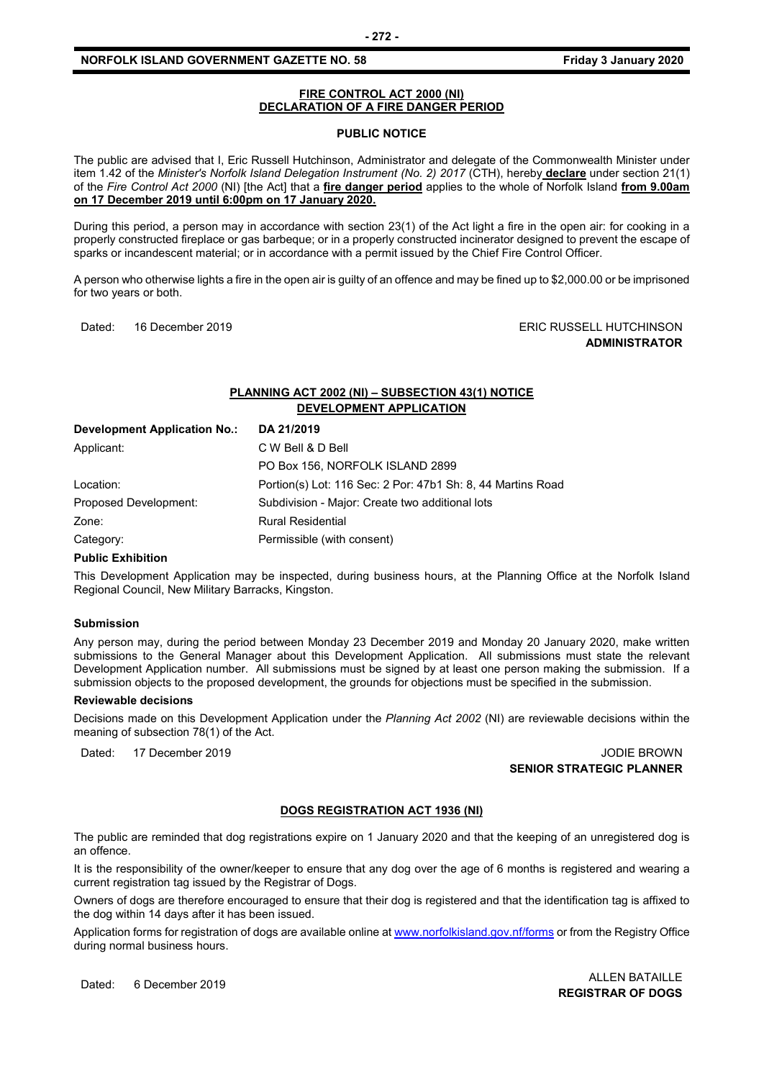#### **NORFOLK ISLAND GOVERNMENT GAZETTE NO. 58 Friday 3 January 2020**

#### **FIRE CONTROL ACT 2000 (NI) DECLARATION OF A FIRE DANGER PERIOD**

#### **PUBLIC NOTICE**

The public are advised that I, Eric Russell Hutchinson, Administrator and delegate of the Commonwealth Minister under item 1.42 of the *Minister's Norfolk Island Delegation Instrument (No. 2) 2017* (CTH), hereby **declare** under section 21(1) of the *Fire Control Act 2000* (NI) [the Act] that a **fire danger period** applies to the whole of Norfolk Island **from 9.00am on 17 December 2019 until 6:00pm on 17 January 2020.**

During this period, a person may in accordance with section 23(1) of the Act light a fire in the open air: for cooking in a properly constructed fireplace or gas barbeque; or in a properly constructed incinerator designed to prevent the escape of sparks or incandescent material; or in accordance with a permit issued by the Chief Fire Control Officer.

A person who otherwise lights a fire in the open air is guilty of an offence and may be fined up to \$2,000.00 or be imprisoned for two years or both.

Dated: 16 December 2019 ERIC RUSSELL HUTCHINSON **ADMINISTRATOR**

# **PLANNING ACT 2002 (NI) – SUBSECTION 43(1) NOTICE DEVELOPMENT APPLICATION**

| <b>Development Application No.:</b> | DA 21/2019                                                  |
|-------------------------------------|-------------------------------------------------------------|
| Applicant:                          | C W Bell & D Bell                                           |
|                                     | PO Box 156, NORFOLK ISLAND 2899                             |
| Location:                           | Portion(s) Lot: 116 Sec: 2 Por: 47b1 Sh: 8, 44 Martins Road |
| Proposed Development:               | Subdivision - Major: Create two additional lots             |
| Zone:                               | <b>Rural Residential</b>                                    |
| Category:                           | Permissible (with consent)                                  |

#### **Public Exhibition**

This Development Application may be inspected, during business hours, at the Planning Office at the Norfolk Island Regional Council, New Military Barracks, Kingston.

#### **Submission**

Any person may, during the period between Monday 23 December 2019 and Monday 20 January 2020, make written submissions to the General Manager about this Development Application. All submissions must state the relevant Development Application number. All submissions must be signed by at least one person making the submission. If a submission objects to the proposed development, the grounds for objections must be specified in the submission.

#### **Reviewable decisions**

Decisions made on this Development Application under the *Planning Act 2002* (NI) are reviewable decisions within the meaning of subsection 78(1) of the Act.

Dated: 17 December 2019 JODIE BROWN **SENIOR STRATEGIC PLANNER** 

#### **DOGS REGISTRATION ACT 1936 (NI)**

The public are reminded that dog registrations expire on 1 January 2020 and that the keeping of an unregistered dog is an offence.

It is the responsibility of the owner/keeper to ensure that any dog over the age of 6 months is registered and wearing a current registration tag issued by the Registrar of Dogs.

Owners of dogs are therefore encouraged to ensure that their dog is registered and that the identification tag is affixed to the dog within 14 days after it has been issued.

Application forms for registration of dogs are available online a[t www.norfolkisland.gov.nf/forms](http://www.norfolkisland.gov.nf/forms) or from the Registry Office during normal business hours.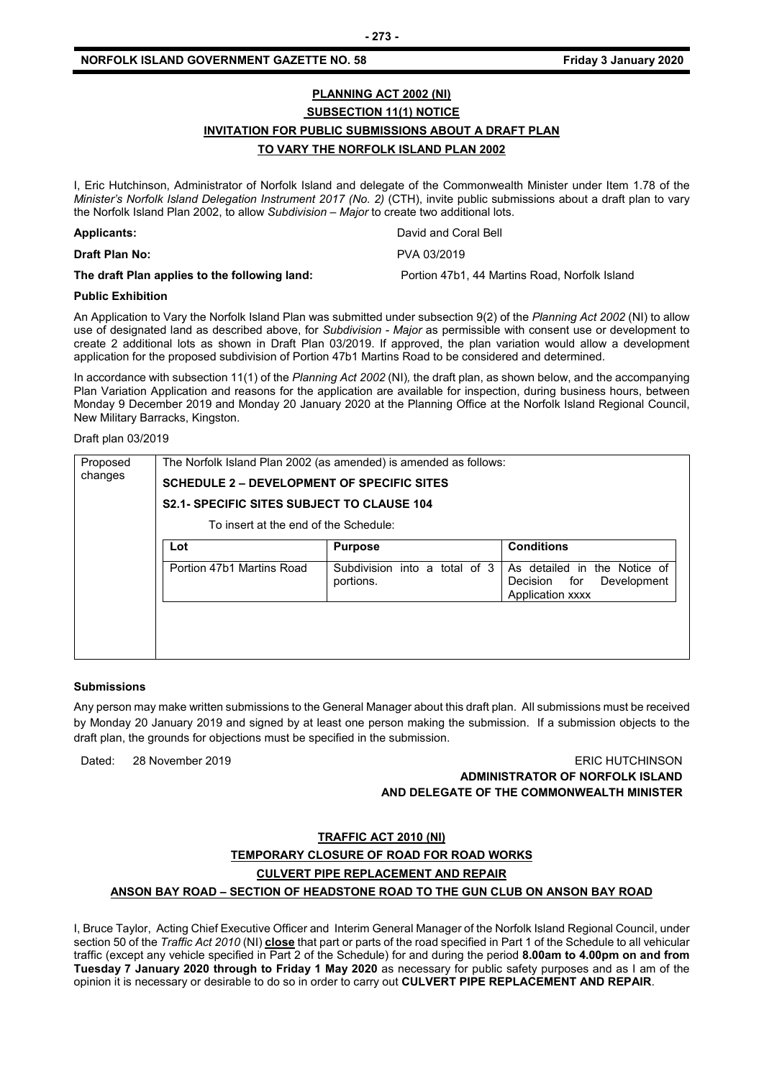# **PLANNING ACT 2002 (NI) SUBSECTION 11(1) NOTICE INVITATION FOR PUBLIC SUBMISSIONS ABOUT A DRAFT PLAN TO VARY THE NORFOLK ISLAND PLAN 2002**

I, Eric Hutchinson, Administrator of Norfolk Island and delegate of the Commonwealth Minister under Item 1.78 of the *Minister's Norfolk Island Delegation Instrument 2017 (No. 2)* (CTH), invite public submissions about a draft plan to vary the Norfolk Island Plan 2002, to allow *Subdivision – Major* to create two additional lots.

| <b>Applicants:</b>                            | David and Coral Bell                          |
|-----------------------------------------------|-----------------------------------------------|
| <b>Draft Plan No:</b>                         | PVA 03/2019                                   |
| The draft Plan applies to the following land: | Portion 47b1, 44 Martins Road, Norfolk Island |

#### **Public Exhibition**

An Application to Vary the Norfolk Island Plan was submitted under subsection 9(2) of the *Planning Act 2002* (NI) to allow use of designated land as described above, for *Subdivision - Major* as permissible with consent use or development to create 2 additional lots as shown in Draft Plan 03/2019. If approved, the plan variation would allow a development application for the proposed subdivision of Portion 47b1 Martins Road to be considered and determined.

In accordance with subsection 11(1) of the *Planning Act 2002* (NI)*,* the draft plan, as shown below, and the accompanying Plan Variation Application and reasons for the application are available for inspection, during business hours, between Monday 9 December 2019 and Monday 20 January 2020 at the Planning Office at the Norfolk Island Regional Council, New Military Barracks, Kingston.

#### Draft plan 03/2019

| Proposed | The Norfolk Island Plan 2002 (as amended) is amended as follows: |                                               |                                                                                       |  |  |  |
|----------|------------------------------------------------------------------|-----------------------------------------------|---------------------------------------------------------------------------------------|--|--|--|
| changes  | <b>SCHEDULE 2 – DEVELOPMENT OF SPECIFIC SITES</b>                |                                               |                                                                                       |  |  |  |
|          | <b>S2.1- SPECIFIC SITES SUBJECT TO CLAUSE 104</b>                |                                               |                                                                                       |  |  |  |
|          | To insert at the end of the Schedule:                            |                                               |                                                                                       |  |  |  |
|          | Lot                                                              | <b>Purpose</b>                                | <b>Conditions</b>                                                                     |  |  |  |
|          | Portion 47b1 Martins Road                                        | Subdivision into a<br>total of 3<br>portions. | As detailed in<br>the Notice of<br>for<br>Development<br>Decision<br>Application xxxx |  |  |  |
|          |                                                                  |                                               |                                                                                       |  |  |  |
|          |                                                                  |                                               |                                                                                       |  |  |  |

#### **Submissions**

Any person may make written submissions to the General Manager about this draft plan. All submissions must be received by Monday 20 January 2019 and signed by at least one person making the submission. If a submission objects to the draft plan, the grounds for objections must be specified in the submission.

Dated: 28 November 2019

| <b>ERIC HUTCHINSON</b>                    |
|-------------------------------------------|
| ADMINISTRATOR OF NORFOLK ISLAND           |
| AND DELEGATE OF THE COMMONWEALTH MINISTER |

#### **TRAFFIC ACT 2010 (NI)**

### **TEMPORARY CLOSURE OF ROAD FOR ROAD WORKS**

#### **CULVERT PIPE REPLACEMENT AND REPAIR**

#### **ANSON BAY ROAD – SECTION OF HEADSTONE ROAD TO THE GUN CLUB ON ANSON BAY ROAD**

I, Bruce Taylor, Acting Chief Executive Officer and Interim General Manager of the Norfolk Island Regional Council, under section 50 of the *Traffic Act 2010* (NI) **close** that part or parts of the road specified in Part 1 of the Schedule to all vehicular traffic (except any vehicle specified in Part 2 of the Schedule) for and during the period **8.00am to 4.00pm on and from Tuesday 7 January 2020 through to Friday 1 May 2020** as necessary for public safety purposes and as I am of the opinion it is necessary or desirable to do so in order to carry out **CULVERT PIPE REPLACEMENT AND REPAIR**.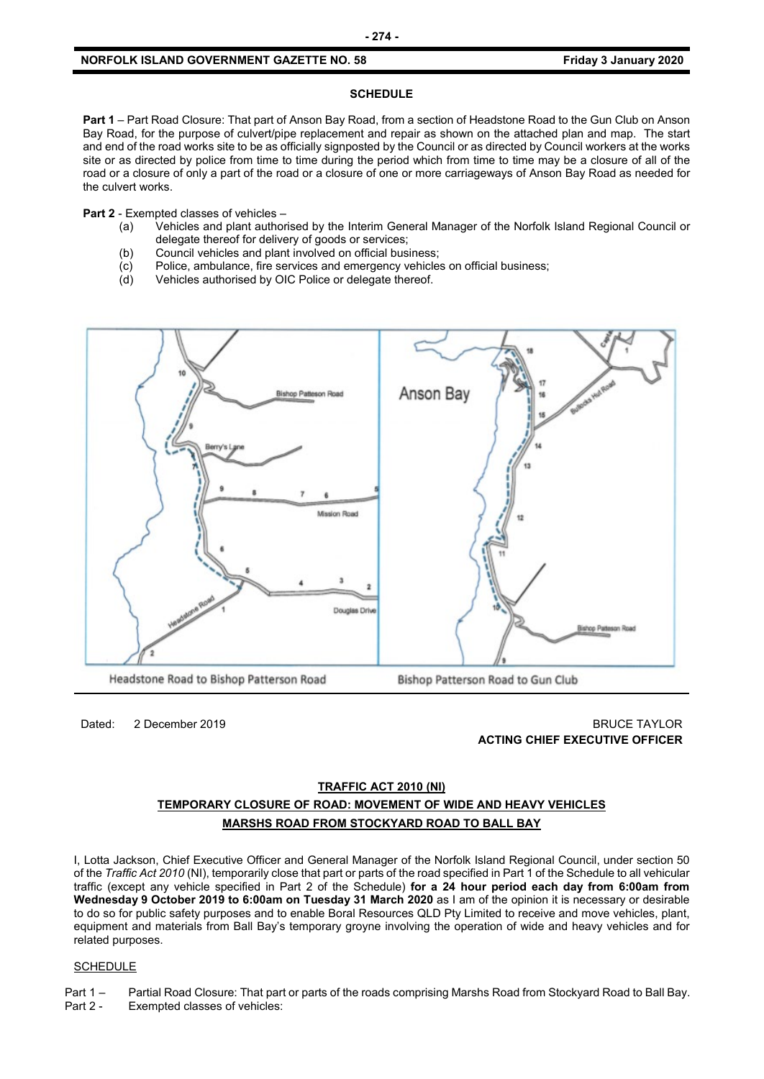#### **NORFOLK ISLAND GOVERNMENT GAZETTE NO. 58 Friday 3 January 2020**

#### **SCHEDULE**

**Part 1** – Part Road Closure: That part of Anson Bay Road, from a section of Headstone Road to the Gun Club on Anson Bay Road, for the purpose of culvert/pipe replacement and repair as shown on the attached plan and map. The start and end of the road works site to be as officially signposted by the Council or as directed by Council workers at the works site or as directed by police from time to time during the period which from time to time may be a closure of all of the road or a closure of only a part of the road or a closure of one or more carriageways of Anson Bay Road as needed for the culvert works.

**Part 2** - Exempted classes of vehicles –

- (a) Vehicles and plant authorised by the Interim General Manager of the Norfolk Island Regional Council or delegate thereof for delivery of goods or services;
- (b) Council vehicles and plant involved on official business;
- (c) Police, ambulance, fire services and emergency vehicles on official business;<br>(d) Vehicles authorised by OIC Police or delegate thereof.
- Vehicles authorised by OIC Police or delegate thereof.



Dated: 2 December 2019 BRUCE TAYLOR **ACTING CHIEF EXECUTIVE OFFICER**

# **TRAFFIC ACT 2010 (NI) TEMPORARY CLOSURE OF ROAD: MOVEMENT OF WIDE AND HEAVY VEHICLES MARSHS ROAD FROM STOCKYARD ROAD TO BALL BAY**

I, Lotta Jackson, Chief Executive Officer and General Manager of the Norfolk Island Regional Council, under section 50 of the *Traffic Act 2010* (NI), temporarily close that part or parts of the road specified in Part 1 of the Schedule to all vehicular traffic (except any vehicle specified in Part 2 of the Schedule) **for a 24 hour period each day from 6:00am from Wednesday 9 October 2019 to 6:00am on Tuesday 31 March 2020** as I am of the opinion it is necessary or desirable to do so for public safety purposes and to enable Boral Resources QLD Pty Limited to receive and move vehicles, plant, equipment and materials from Ball Bay's temporary groyne involving the operation of wide and heavy vehicles and for related purposes.

#### **SCHEDULE**

Part 1 – Partial Road Closure: That part or parts of the roads comprising Marshs Road from Stockyard Road to Ball Bay. Part 2 - Exempted classes of vehicles: